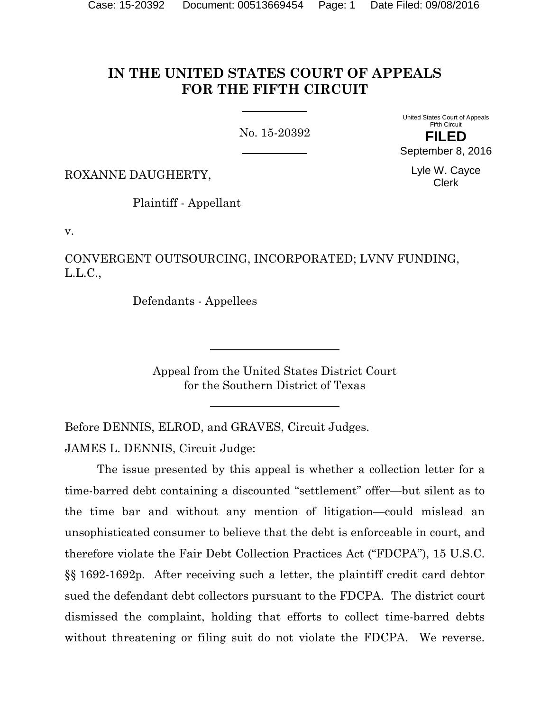# **IN THE UNITED STATES COURT OF APPEALS FOR THE FIFTH CIRCUIT**

No. 15-20392

United States Court of Appeals Fifth Circuit **FILED** September 8, 2016

> Lyle W. Cayce Clerk

ROXANNE DAUGHERTY,

Plaintiff - Appellant

v.

CONVERGENT OUTSOURCING, INCORPORATED; LVNV FUNDING, L.L.C.,

Defendants - Appellees

Appeal from the United States District Court for the Southern District of Texas

Before DENNIS, ELROD, and GRAVES, Circuit Judges. JAMES L. DENNIS, Circuit Judge:

The issue presented by this appeal is whether a collection letter for a time-barred debt containing a discounted "settlement" offer—but silent as to the time bar and without any mention of litigation—could mislead an unsophisticated consumer to believe that the debt is enforceable in court, and therefore violate the Fair Debt Collection Practices Act ("FDCPA"), 15 U.S.C. §§ 1692-1692p*.* After receiving such a letter, the plaintiff credit card debtor sued the defendant debt collectors pursuant to the FDCPA. The district court dismissed the complaint, holding that efforts to collect time-barred debts without threatening or filing suit do not violate the FDCPA. We reverse.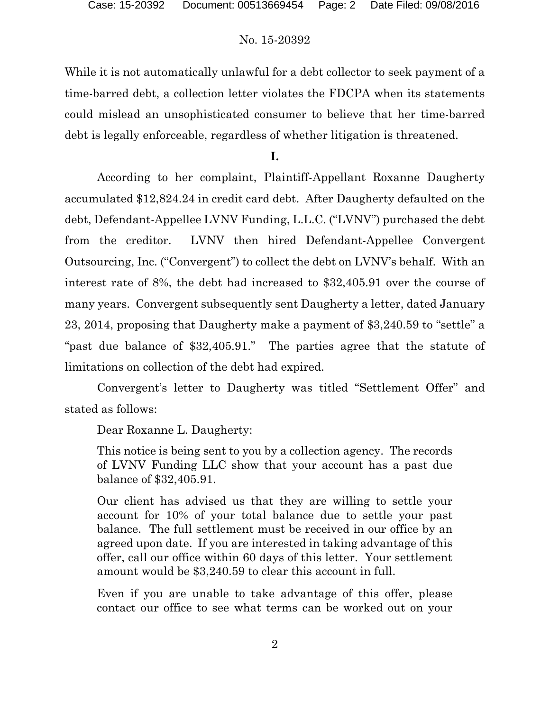While it is not automatically unlawful for a debt collector to seek payment of a time-barred debt, a collection letter violates the FDCPA when its statements could mislead an unsophisticated consumer to believe that her time-barred debt is legally enforceable, regardless of whether litigation is threatened.

**I.**

According to her complaint, Plaintiff-Appellant Roxanne Daugherty accumulated \$12,824.24 in credit card debt. After Daugherty defaulted on the debt, Defendant-Appellee LVNV Funding, L.L.C. ("LVNV") purchased the debt from the creditor. LVNV then hired Defendant-Appellee Convergent Outsourcing, Inc. ("Convergent") to collect the debt on LVNV's behalf. With an interest rate of 8%, the debt had increased to \$32,405.91 over the course of many years. Convergent subsequently sent Daugherty a letter, dated January 23, 2014, proposing that Daugherty make a payment of \$3,240.59 to "settle" a "past due balance of \$32,405.91." The parties agree that the statute of limitations on collection of the debt had expired.

Convergent's letter to Daugherty was titled "Settlement Offer" and stated as follows:

Dear Roxanne L. Daugherty:

This notice is being sent to you by a collection agency. The records of LVNV Funding LLC show that your account has a past due balance of \$32,405.91.

Our client has advised us that they are willing to settle your account for 10% of your total balance due to settle your past balance. The full settlement must be received in our office by an agreed upon date. If you are interested in taking advantage of this offer, call our office within 60 days of this letter. Your settlement amount would be \$3,240.59 to clear this account in full.

Even if you are unable to take advantage of this offer, please contact our office to see what terms can be worked out on your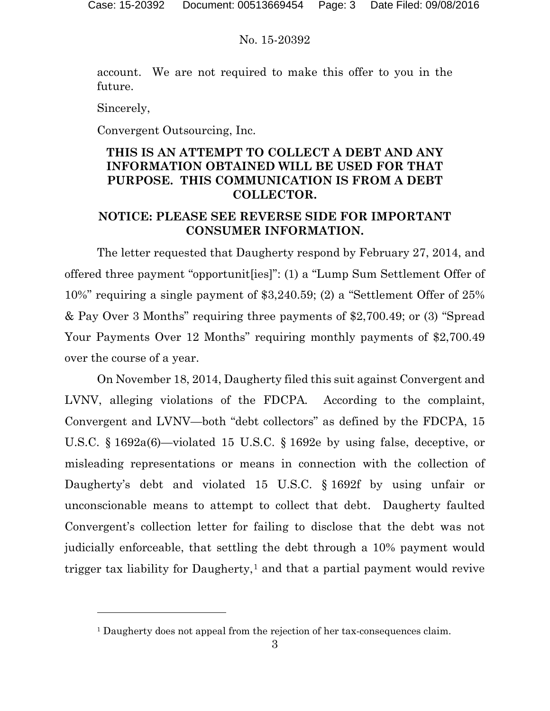account. We are not required to make this offer to you in the future.

Sincerely,

 $\overline{a}$ 

Convergent Outsourcing, Inc.

# **THIS IS AN ATTEMPT TO COLLECT A DEBT AND ANY INFORMATION OBTAINED WILL BE USED FOR THAT PURPOSE. THIS COMMUNICATION IS FROM A DEBT COLLECTOR.**

# **NOTICE: PLEASE SEE REVERSE SIDE FOR IMPORTANT CONSUMER INFORMATION.**

The letter requested that Daugherty respond by February 27, 2014, and offered three payment "opportunit[ies]": (1) a "Lump Sum Settlement Offer of 10%" requiring a single payment of \$3,240.59; (2) a "Settlement Offer of 25% & Pay Over 3 Months" requiring three payments of \$2,700.49; or (3) "Spread Your Payments Over 12 Months" requiring monthly payments of \$2,700.49 over the course of a year.

On November 18, 2014, Daugherty filed this suit against Convergent and LVNV, alleging violations of the FDCPA*.* According to the complaint, Convergent and LVNV—both "debt collectors" as defined by the FDCPA, 15 U.S.C. § 1692a(6)—violated 15 U.S.C. § 1692e by using false, deceptive, or misleading representations or means in connection with the collection of Daugherty's debt and violated 15 U.S.C. § 1692f by using unfair or unconscionable means to attempt to collect that debt. Daugherty faulted Convergent's collection letter for failing to disclose that the debt was not judicially enforceable, that settling the debt through a 10% payment would trigger tax liability for Daugherty,<sup>[1](#page-2-0)</sup> and that a partial payment would revive

<span id="page-2-0"></span><sup>&</sup>lt;sup>1</sup> Daugherty does not appeal from the rejection of her tax-consequences claim.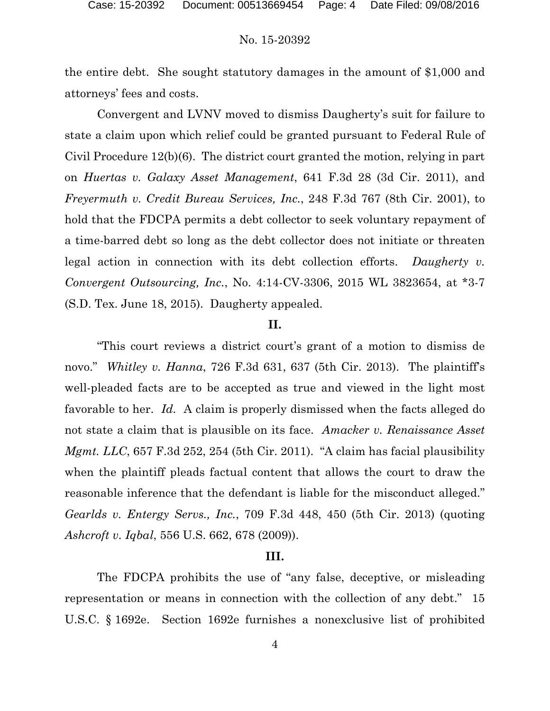the entire debt. She sought statutory damages in the amount of \$1,000 and attorneys' fees and costs.

Convergent and LVNV moved to dismiss Daugherty's suit for failure to state a claim upon which relief could be granted pursuant to Federal Rule of Civil Procedure 12(b)(6). The district court granted the motion, relying in part on *Huertas v. Galaxy Asset Management*, 641 F.3d 28 (3d Cir. 2011), and *Freyermuth v. Credit Bureau Services, Inc.*, 248 F.3d 767 (8th Cir. 2001), to hold that the FDCPA permits a debt collector to seek voluntary repayment of a time-barred debt so long as the debt collector does not initiate or threaten legal action in connection with its debt collection efforts. *Daugherty v. Convergent Outsourcing, Inc.*, No. 4:14-CV-3306, 2015 WL 3823654, at \*3-7 (S.D. Tex. June 18, 2015). Daugherty appealed.

## **II.**

"This court reviews a district court's grant of a motion to dismiss de novo." *Whitley v. Hanna*, 726 F.3d 631, 637 (5th Cir. 2013). The plaintiff's well-pleaded facts are to be accepted as true and viewed in the light most favorable to her. *Id.* A claim is properly dismissed when the facts alleged do not state a claim that is plausible on its face. *Amacker v. Renaissance Asset Mgmt. LLC*, 657 F.3d 252, 254 (5th Cir. 2011). "A claim has facial plausibility when the plaintiff pleads factual content that allows the court to draw the reasonable inference that the defendant is liable for the misconduct alleged." *Gearlds v. Entergy Servs., Inc.*, 709 F.3d 448, 450 (5th Cir. 2013) (quoting *Ashcroft v. Iqbal*, 556 U.S. 662, 678 (2009)).

#### **III.**

The FDCPA prohibits the use of "any false, deceptive, or misleading representation or means in connection with the collection of any debt." 15 U.S.C. § 1692e. Section 1692e furnishes a nonexclusive list of prohibited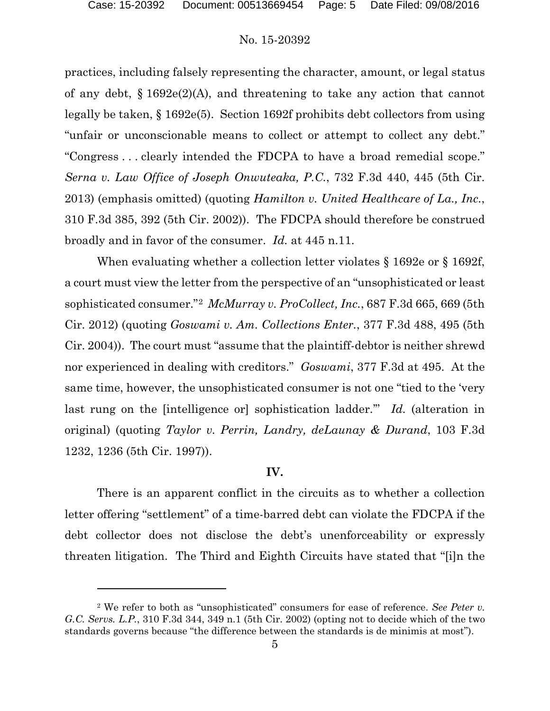l

#### No. 15-20392

practices, including falsely representing the character, amount, or legal status of any debt, § 1692e(2)(A), and threatening to take any action that cannot legally be taken, § 1692e(5). Section 1692f prohibits debt collectors from using "unfair or unconscionable means to collect or attempt to collect any debt." "Congress . . . clearly intended the FDCPA to have a broad remedial scope." *Serna v. Law Office of Joseph Onwuteaka, P.C.*, 732 F.3d 440, 445 (5th Cir. 2013) (emphasis omitted) (quoting *Hamilton v. United Healthcare of La., Inc.*, 310 F.3d 385, 392 (5th Cir. 2002)). The FDCPA should therefore be construed broadly and in favor of the consumer. *Id.* at 445 n.11.

When evaluating whether a collection letter violates § 1692e or § 1692f, a court must view the letter from the perspective of an "unsophisticated or least sophisticated consumer."[2](#page-4-0) *McMurray v. ProCollect, Inc.*, 687 F.3d 665, 669 (5th Cir. 2012) (quoting *Goswami v. Am. Collections Enter.*, 377 F.3d 488, 495 (5th Cir. 2004)). The court must "assume that the plaintiff-debtor is neither shrewd nor experienced in dealing with creditors." *Goswami*, 377 F.3d at 495. At the same time, however, the unsophisticated consumer is not one "tied to the 'very last rung on the [intelligence or] sophistication ladder.'" *Id.* (alteration in original) (quoting *Taylor v. Perrin, Landry, deLaunay & Durand*, 103 F.3d 1232, 1236 (5th Cir. 1997)).

## **IV.**

There is an apparent conflict in the circuits as to whether a collection letter offering "settlement" of a time-barred debt can violate the FDCPA if the debt collector does not disclose the debt's unenforceability or expressly threaten litigation. The Third and Eighth Circuits have stated that "[i]n the

<span id="page-4-0"></span><sup>2</sup> We refer to both as "unsophisticated" consumers for ease of reference. *See Peter v. G.C. Servs. L.P.*, 310 F.3d 344, 349 n.1 (5th Cir. 2002) (opting not to decide which of the two standards governs because "the difference between the standards is de minimis at most").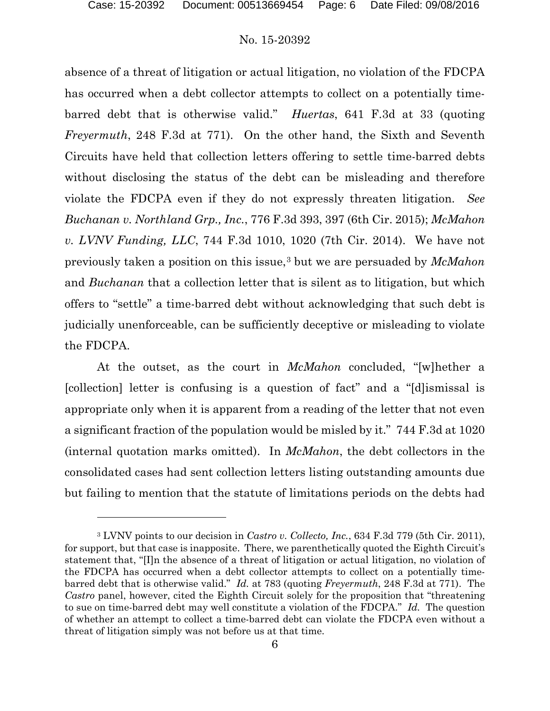$\overline{a}$ 

### No. 15-20392

absence of a threat of litigation or actual litigation, no violation of the FDCPA has occurred when a debt collector attempts to collect on a potentially timebarred debt that is otherwise valid." *Huertas*, 641 F.3d at 33 (quoting *Freyermuth*, 248 F.3d at 771). On the other hand, the Sixth and Seventh Circuits have held that collection letters offering to settle time-barred debts without disclosing the status of the debt can be misleading and therefore violate the FDCPA even if they do not expressly threaten litigation. *See Buchanan v. Northland Grp., Inc.*, 776 F.3d 393, 397 (6th Cir. 2015); *McMahon v. LVNV Funding, LLC*, 744 F.3d 1010, 1020 (7th Cir. 2014). We have not previously taken a position on this issue,[3](#page-5-0) but we are persuaded by *McMahon* and *Buchanan* that a collection letter that is silent as to litigation, but which offers to "settle" a time-barred debt without acknowledging that such debt is judicially unenforceable, can be sufficiently deceptive or misleading to violate the FDCPA.

At the outset, as the court in *McMahon* concluded, "[w]hether a [collection] letter is confusing is a question of fact" and a "[d]ismissal is appropriate only when it is apparent from a reading of the letter that not even a significant fraction of the population would be misled by it." 744 F.3d at 1020 (internal quotation marks omitted). In *McMahon*, the debt collectors in the consolidated cases had sent collection letters listing outstanding amounts due but failing to mention that the statute of limitations periods on the debts had

<span id="page-5-0"></span><sup>3</sup> LVNV points to our decision in *Castro v. Collecto, Inc.*, 634 F.3d 779 (5th Cir. 2011), for support, but that case is inapposite. There, we parenthetically quoted the Eighth Circuit's statement that, "[I]n the absence of a threat of litigation or actual litigation, no violation of the FDCPA has occurred when a debt collector attempts to collect on a potentially timebarred debt that is otherwise valid." *Id.* at 783 (quoting *Freyermuth*, 248 F.3d at 771). The *Castro* panel, however, cited the Eighth Circuit solely for the proposition that "threatening to sue on time-barred debt may well constitute a violation of the FDCPA." *Id.* The question of whether an attempt to collect a time-barred debt can violate the FDCPA even without a threat of litigation simply was not before us at that time.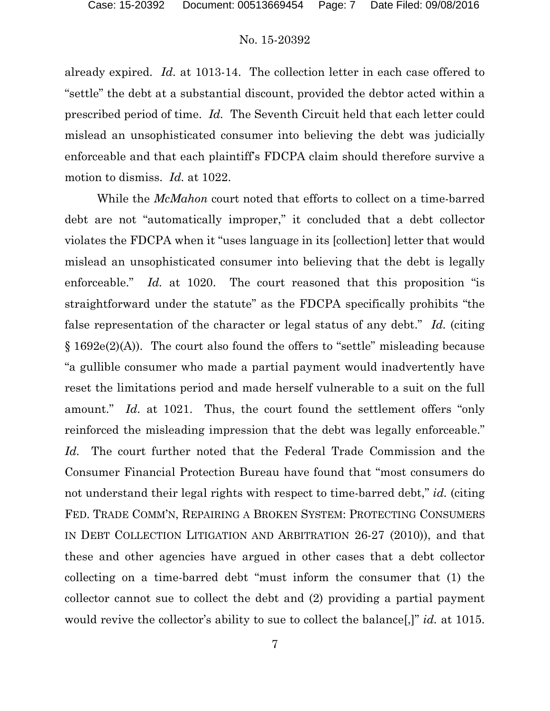already expired. *Id.* at 1013-14. The collection letter in each case offered to "settle" the debt at a substantial discount, provided the debtor acted within a prescribed period of time. *Id.* The Seventh Circuit held that each letter could mislead an unsophisticated consumer into believing the debt was judicially enforceable and that each plaintiff's FDCPA claim should therefore survive a motion to dismiss. *Id.* at 1022.

While the *McMahon* court noted that efforts to collect on a time-barred debt are not "automatically improper," it concluded that a debt collector violates the FDCPA when it "uses language in its [collection] letter that would mislead an unsophisticated consumer into believing that the debt is legally enforceable." *Id.* at 1020. The court reasoned that this proposition "is straightforward under the statute" as the FDCPA specifically prohibits "the false representation of the character or legal status of any debt." *Id.* (citing § 1692e(2)(A)). The court also found the offers to "settle" misleading because "a gullible consumer who made a partial payment would inadvertently have reset the limitations period and made herself vulnerable to a suit on the full amount." *Id.* at 1021. Thus, the court found the settlement offers "only reinforced the misleading impression that the debt was legally enforceable." *Id.* The court further noted that the Federal Trade Commission and the Consumer Financial Protection Bureau have found that "most consumers do not understand their legal rights with respect to time-barred debt," *id.* (citing FED. TRADE COMM'N, REPAIRING A BROKEN SYSTEM: PROTECTING CONSUMERS IN DEBT COLLECTION LITIGATION AND ARBITRATION 26-27 (2010)), and that these and other agencies have argued in other cases that a debt collector collecting on a time-barred debt "must inform the consumer that (1) the collector cannot sue to collect the debt and (2) providing a partial payment would revive the collector's ability to sue to collect the balance[,]" *id.* at 1015.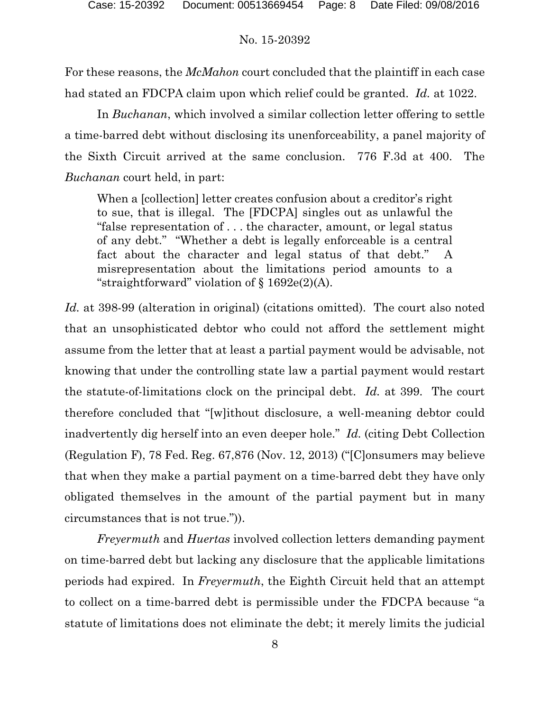For these reasons, the *McMahon* court concluded that the plaintiff in each case had stated an FDCPA claim upon which relief could be granted. *Id.* at 1022.

In *Buchanan*, which involved a similar collection letter offering to settle a time-barred debt without disclosing its unenforceability, a panel majority of the Sixth Circuit arrived at the same conclusion. 776 F.3d at 400. The *Buchanan* court held, in part:

When a [collection] letter creates confusion about a creditor's right to sue, that is illegal. The [FDCPA] singles out as unlawful the "false representation of . . . the character, amount, or legal status of any debt." "Whether a debt is legally enforceable is a central fact about the character and legal status of that debt." A misrepresentation about the limitations period amounts to a "straightforward" violation of § 1692e(2)(A).

*Id.* at 398-99 (alteration in original) (citations omitted). The court also noted that an unsophisticated debtor who could not afford the settlement might assume from the letter that at least a partial payment would be advisable, not knowing that under the controlling state law a partial payment would restart the statute-of-limitations clock on the principal debt. *Id.* at 399. The court therefore concluded that "[w]ithout disclosure, a well-meaning debtor could inadvertently dig herself into an even deeper hole." *Id.* (citing Debt Collection (Regulation F), 78 Fed. Reg. 67,876 (Nov. 12, 2013) ("[C]onsumers may believe that when they make a partial payment on a time-barred debt they have only obligated themselves in the amount of the partial payment but in many circumstances that is not true.")).

*Freyermuth* and *Huertas* involved collection letters demanding payment on time-barred debt but lacking any disclosure that the applicable limitations periods had expired. In *Freyermuth*, the Eighth Circuit held that an attempt to collect on a time-barred debt is permissible under the FDCPA because "a statute of limitations does not eliminate the debt; it merely limits the judicial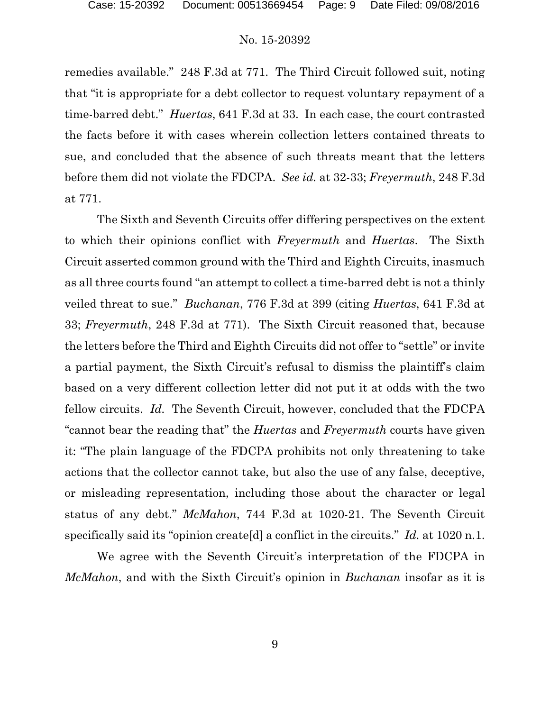remedies available." 248 F.3d at 771. The Third Circuit followed suit, noting that "it is appropriate for a debt collector to request voluntary repayment of a time-barred debt." *Huertas*, 641 F.3d at 33. In each case, the court contrasted the facts before it with cases wherein collection letters contained threats to sue, and concluded that the absence of such threats meant that the letters before them did not violate the FDCPA. *See id.* at 32-33; *Freyermuth*, 248 F.3d at 771.

The Sixth and Seventh Circuits offer differing perspectives on the extent to which their opinions conflict with *Freyermuth* and *Huertas*. The Sixth Circuit asserted common ground with the Third and Eighth Circuits, inasmuch as all three courts found "an attempt to collect a time-barred debt is not a thinly veiled threat to sue." *Buchanan*, 776 F.3d at 399 (citing *Huertas*, 641 F.3d at 33; *Freyermuth*, 248 F.3d at 771). The Sixth Circuit reasoned that, because the letters before the Third and Eighth Circuits did not offer to "settle" or invite a partial payment, the Sixth Circuit's refusal to dismiss the plaintiff's claim based on a very different collection letter did not put it at odds with the two fellow circuits. *Id.* The Seventh Circuit, however, concluded that the FDCPA "cannot bear the reading that" the *Huertas* and *Freyermuth* courts have given it: "The plain language of the FDCPA prohibits not only threatening to take actions that the collector cannot take, but also the use of any false, deceptive, or misleading representation, including those about the character or legal status of any debt." *McMahon*, 744 F.3d at 1020-21. The Seventh Circuit specifically said its "opinion create[d] a conflict in the circuits." *Id.* at 1020 n.1.

We agree with the Seventh Circuit's interpretation of the FDCPA in *McMahon*, and with the Sixth Circuit's opinion in *Buchanan* insofar as it is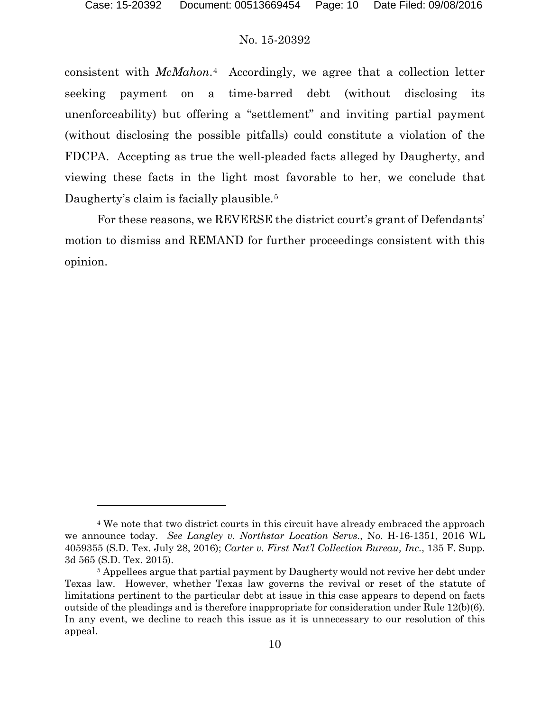$\overline{a}$ 

### No. 15-20392

consistent with *McMahon*.[4](#page-9-0) Accordingly, we agree that a collection letter seeking payment on a time-barred debt (without disclosing its unenforceability) but offering a "settlement" and inviting partial payment (without disclosing the possible pitfalls) could constitute a violation of the FDCPA. Accepting as true the well-pleaded facts alleged by Daugherty, and viewing these facts in the light most favorable to her, we conclude that Daugherty's claim is facially plausible.<sup>[5](#page-9-1)</sup>

For these reasons, we REVERSE the district court's grant of Defendants' motion to dismiss and REMAND for further proceedings consistent with this opinion.

<span id="page-9-0"></span><sup>4</sup> We note that two district courts in this circuit have already embraced the approach we announce today. *See Langley v. Northstar Location Servs.*, No. H-16-1351, 2016 WL 4059355 (S.D. Tex. July 28, 2016); *Carter v. First Nat'l Collection Bureau, Inc.*, 135 F. Supp. 3d 565 (S.D. Tex. 2015).

<span id="page-9-1"></span><sup>&</sup>lt;sup>5</sup> Appellees argue that partial payment by Daugherty would not revive her debt under Texas law. However, whether Texas law governs the revival or reset of the statute of limitations pertinent to the particular debt at issue in this case appears to depend on facts outside of the pleadings and is therefore inappropriate for consideration under Rule 12(b)(6). In any event, we decline to reach this issue as it is unnecessary to our resolution of this appeal.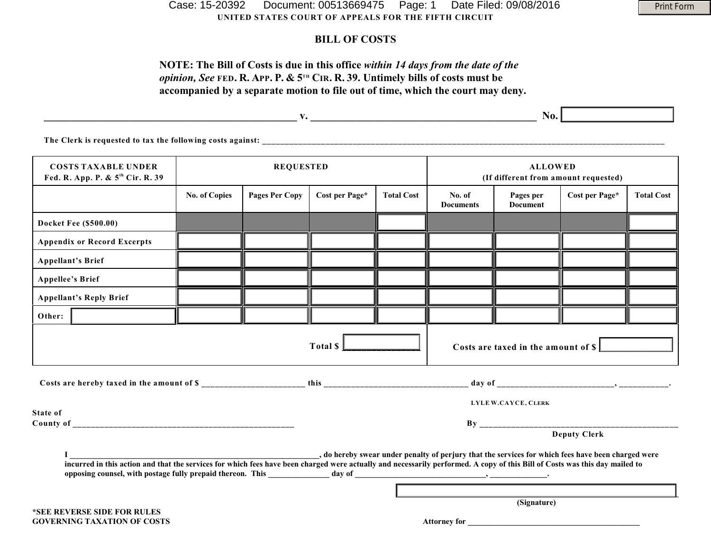**UNITED STATES COURT OF APPEALS FOR THE FIFTH CIRCUIT** Case: 15-20392 Document: 00513669475 Page: 1 Date Filed: 09/08/2016

## **BILL OF COSTS**

## **NOTE: The Bill of Costs is due in this office** *within 14 days from the date of the opinion, See* FED. R. APP. P. &  $5^{th}$  CIR. R. 39. Untimely bills of costs must be **accompanied by a separate motion to file out of time, which the court may deny.**

|                                                                            | $\mathbf{v}$ .       |                       |                |                   | No.                                                    |                       |                |                   |
|----------------------------------------------------------------------------|----------------------|-----------------------|----------------|-------------------|--------------------------------------------------------|-----------------------|----------------|-------------------|
| The Clerk is requested to tax the following costs against:                 |                      |                       |                |                   |                                                        |                       |                |                   |
| <b>COSTS TAXABLE UNDER</b><br>Fed. R. App. P. & 5 <sup>th</sup> Cir. R. 39 | <b>REQUESTED</b>     |                       |                |                   | <b>ALLOWED</b><br>(If different from amount requested) |                       |                |                   |
|                                                                            | <b>No. of Copies</b> | <b>Pages Per Copy</b> | Cost per Page* | <b>Total Cost</b> | No. of<br>Documents                                    | Pages per<br>Document | Cost per Page* | <b>Total Cost</b> |

|                                                                                                                                                                                                                                                                                                                                       |  |  |                     |  | <b>Documents</b>                    | <b>Document</b>     |  |  |  |  |
|---------------------------------------------------------------------------------------------------------------------------------------------------------------------------------------------------------------------------------------------------------------------------------------------------------------------------------------|--|--|---------------------|--|-------------------------------------|---------------------|--|--|--|--|
| <b>Docket Fee (\$500.00)</b>                                                                                                                                                                                                                                                                                                          |  |  |                     |  |                                     |                     |  |  |  |  |
| <b>Appendix or Record Excerpts</b>                                                                                                                                                                                                                                                                                                    |  |  |                     |  |                                     |                     |  |  |  |  |
| <b>Appellant's Brief</b>                                                                                                                                                                                                                                                                                                              |  |  |                     |  |                                     |                     |  |  |  |  |
| <b>Appellee's Brief</b>                                                                                                                                                                                                                                                                                                               |  |  |                     |  |                                     |                     |  |  |  |  |
| <b>Appellant's Reply Brief</b>                                                                                                                                                                                                                                                                                                        |  |  |                     |  |                                     |                     |  |  |  |  |
| Other:                                                                                                                                                                                                                                                                                                                                |  |  |                     |  |                                     |                     |  |  |  |  |
| Total \$                                                                                                                                                                                                                                                                                                                              |  |  |                     |  | Costs are taxed in the amount of \$ |                     |  |  |  |  |
|                                                                                                                                                                                                                                                                                                                                       |  |  |                     |  |                                     |                     |  |  |  |  |
|                                                                                                                                                                                                                                                                                                                                       |  |  | LYLE W.CAYCE, CLERK |  |                                     |                     |  |  |  |  |
| State of                                                                                                                                                                                                                                                                                                                              |  |  |                     |  |                                     | <b>Deputy Clerk</b> |  |  |  |  |
| o hereby swear under penalty of perjury that the services for which fees have been charged were, by the services for which fees have been charged were<br>incurred in this action and that the services for which fees have been charged were actually and necessarily performed. A copy of this Bill of Costs was this day mailed to |  |  |                     |  |                                     |                     |  |  |  |  |
|                                                                                                                                                                                                                                                                                                                                       |  |  |                     |  |                                     |                     |  |  |  |  |

**(Signature)** 

Print Form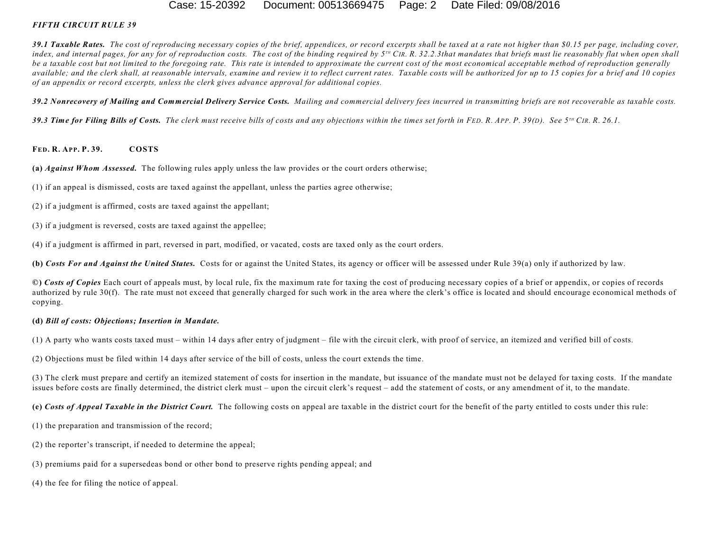#### Case: 15-20392 Document: 00513669475 Page: 2 Date Filed: 09/08/2016

#### *FIFTH CIRCUIT RULE 39*

*39.1 Taxable Rates. The cost of reproducing necessary copies of the brief, appendices, or record excerpts shall be taxed at a rate not higher than \$0.15 per page, including cover,* index, and internal pages, for any for of reproduction costs. The cost of the binding required by  $5^{10}$  CIR, R, 32.2.3that mandates that briefs must lie reasonably flat when open shall *be a taxable cost but not limited to the foregoing rate. This rate is intended to approximate the current cost of the most economical acceptable method of reproduction generally available; and the clerk shall, at reasonable intervals, examine and review it to reflect current rates. Taxable costs will be authorized for up to 15 copies for a brief and 10 copies of an appendix or record excerpts, unless the clerk gives advance approval for additional copies.*

*39.2 Nonrecovery of Mailing and Commercial Delivery Service Costs. Mailing and commercial delivery fees incurred in transmitting briefs are not recoverable as taxable costs.*

39.3 Time for Filing Bills of Costs. The clerk must receive bills of costs and any objections within the times set forth in FED. R. APP. P. 39(D). See 5<sup>TH</sup> CIR. R. 26.1.

#### **FED. R. APP. P. 39. COSTS**

**(a)** *Against Whom Assessed.* The following rules apply unless the law provides or the court orders otherwise;

- (1) if an appeal is dismissed, costs are taxed against the appellant, unless the parties agree otherwise;
- (2) if a judgment is affirmed, costs are taxed against the appellant;
- (3) if a judgment is reversed, costs are taxed against the appellee;
- (4) if a judgment is affirmed in part, reversed in part, modified, or vacated, costs are taxed only as the court orders.

**(b)** *Costs For and Against the United States.* Costs for or against the United States, its agency or officer will be assessed under Rule 39(a) only if authorized by law.

**©)** *Costs of Copies* Each court of appeals must, by local rule, fix the maximum rate for taxing the cost of producing necessary copies of a brief or appendix, or copies of records authorized by rule 30(f). The rate must not exceed that generally charged for such work in the area where the clerk's office is located and should encourage economical methods of copying.

#### **(d)** *Bill of costs: Objections; Insertion in Mandate.*

(1) A party who wants costs taxed must – within 14 days after entry of judgment – file with the circuit clerk, with proof of service, an itemized and verified bill of costs.

(2) Objections must be filed within 14 days after service of the bill of costs, unless the court extends the time.

(3) The clerk must prepare and certify an itemized statement of costs for insertion in the mandate, but issuance of the mandate must not be delayed for taxing costs. If the mandate issues before costs are finally determined, the district clerk must – upon the circuit clerk's request – add the statement of costs, or any amendment of it, to the mandate.

**(e)** *Costs of Appeal Taxable in the District Court.* The following costs on appeal are taxable in the district court for the benefit of the party entitled to costs under this rule:

(1) the preparation and transmission of the record;

- (2) the reporter's transcript, if needed to determine the appeal;
- (3) premiums paid for a supersedeas bond or other bond to preserve rights pending appeal; and

(4) the fee for filing the notice of appeal.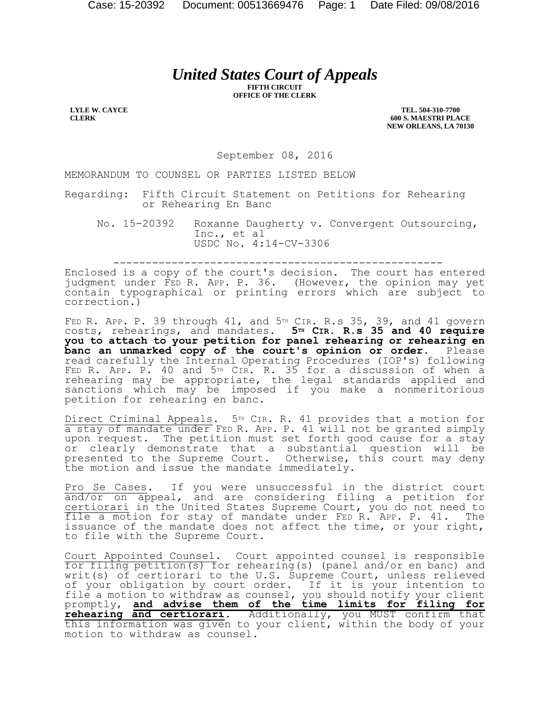# *United States Court of Appeals*

**FIFTH CIRCUIT OFFICE OF THE CLERK**

**LYLE W. CAYCE CLERK**

**TEL. 504-310-7700 600 S. MAESTRI PLACE NEW ORLEANS, LA 70130**

September 08, 2016

MEMORANDUM TO COUNSEL OR PARTIES LISTED BELOW

Regarding: Fifth Circuit Statement on Petitions for Rehearing or Rehearing En Banc

No. 15-20392 Roxanne Daugherty v. Convergent Outsourcing, Inc., et al USDC No. 4:14-CV-3306

---------------------------------------------------

Enclosed is a copy of the court's decision. The court has entered judgment under FED R. APP. P. 36. (However, the opinion may yet contain typographical or printing errors which are subject to correction.)

FED R. APP. P. 39 through  $41$ , and  $5<sup>TH</sup>$  CIR. R.s 35, 39, and  $41$  govern costs, rehearings, and mandates. **5TH CIR. R.s 35 and 40 require you to attach to your petition for panel rehearing or rehearing en banc an unmarked copy of the court's opinion or order.** Please read carefully the Internal Operating Procedures (IOP's) following FED R. APP. P. 40 and 5TH CIR. R. 35 for a discussion of when a rehearing may be appropriate, the legal standards applied and sanctions which may be imposed if you make a nonmeritorious petition for rehearing en banc.

Direct Criminal Appeals. 5<sup>TH</sup> CIR. R. 41 provides that a motion for a stay of mandate under FED R. APP. P. 41 will not be granted simply upon request. The petition must set forth good cause for a stay or clearly demonstrate that a substantial question will be presented to the Supreme Court. Otherwise, this court may deny the motion and issue the mandate immediately.

Pro Se Cases. If you were unsuccessful in the district court and/or on appeal, and are considering filing a petition for certiorari in the United States Supreme Court, you do not need to file a motion for stay of mandate under FED R. APP. P. 41. The issuance of the mandate does not affect the time, or your right, to file with the Supreme Court.

Court Appointed Counsel. Court appointed counsel is responsible for filing petition(s) for rehearing(s) (panel and/or en banc) and writ(s) of certiorari to the U.S. Supreme Court, unless relieved of your obligation by court order. If it is your intention to file a motion to withdraw as counsel, you should notify your client promptly, **and advise them of the time limits for filing for rehearing and certiorari**. Additionally, you MUST confirm that this information was given to your client, within the body of your motion to withdraw as counsel.